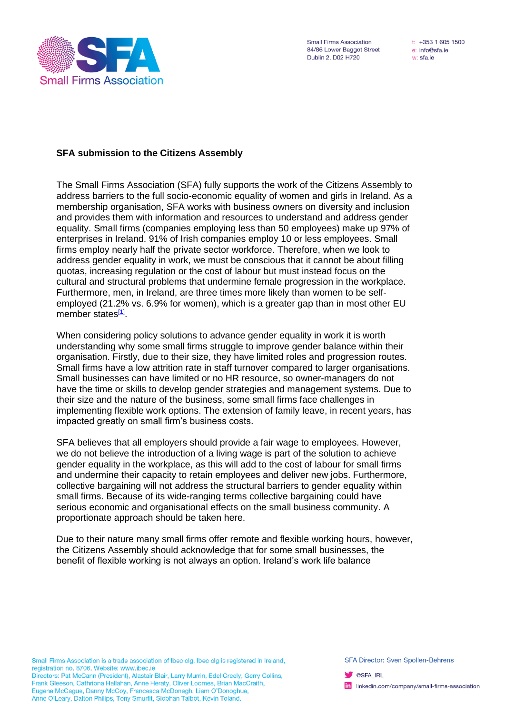

**Small Firms Association** 84/86 Lower Baggot Street Dublin 2, D02 H720

 $t: +35316051500$ e: info@sfa.ie w: sfa.ie

## **SFA submission to the Citizens Assembly**

The Small Firms Association (SFA) fully supports the work of the Citizens Assembly to address barriers to the full socio-economic equality of women and girls in Ireland. As a membership organisation, SFA works with business owners on diversity and inclusion and provides them with information and resources to understand and address gender equality. Small firms (companies employing less than 50 employees) make up 97% of enterprises in Ireland. 91% of Irish companies employ 10 or less employees. Small firms employ nearly half the private sector workforce. Therefore, when we look to address gender equality in work, we must be conscious that it cannot be about filling quotas, increasing regulation or the cost of labour but must instead focus on the cultural and structural problems that undermine female progression in the workplace. Furthermore, men, in Ireland, are three times more likely than women to be selfemployed (21.2% vs. 6.9% for women), which is a greater gap than in most other EU member states<sup>[\[1\]](#page-1-0)</sup>.

<span id="page-0-0"></span>When considering policy solutions to advance gender equality in work it is worth understanding why some small firms struggle to improve gender balance within their organisation. Firstly, due to their size, they have limited roles and progression routes. Small firms have a low attrition rate in staff turnover compared to larger organisations. Small businesses can have limited or no HR resource, so owner-managers do not have the time or skills to develop gender strategies and management systems. Due to their size and the nature of the business, some small firms face challenges in implementing flexible work options. The extension of family leave, in recent years, has impacted greatly on small firm's business costs.

SFA believes that all employers should provide a fair wage to employees. However, we do not believe the introduction of a living wage is part of the solution to achieve gender equality in the workplace, as this will add to the cost of labour for small firms and undermine their capacity to retain employees and deliver new jobs. Furthermore, collective bargaining will not address the structural barriers to gender equality within small firms. Because of its wide-ranging terms collective bargaining could have serious economic and organisational effects on the small business community. A proportionate approach should be taken here.

Due to their nature many small firms offer remote and flexible working hours, however, the Citizens Assembly should acknowledge that for some small businesses, the benefit of flexible working is not always an option. Ireland's work life balance

Small Firms Association is a trade association of Ibec clg. Ibec clg is registered in Ireland, registration no. 8706. Website: www.ibec.ie Directors: Pat McCann (President), Alastair Blair, Larry Murrin, Edel Creely, Gerry Collins, Frank Gleeson, Cathriona Hallahan, Anne Heraty, Oliver Loomes, Brian MacCraith, Eugene McCague, Danny McCoy, Francesca McDonagh, Liam O'Donoghue, Anne O'Leary, Dalton Philips, Tony Smurfit, Siobhan Talbot, Kevin Toland.

**SFA Director: Sven Spollen-Behrens** 

**SALIRL** 

**in** linkedin.com/company/small-firms-association